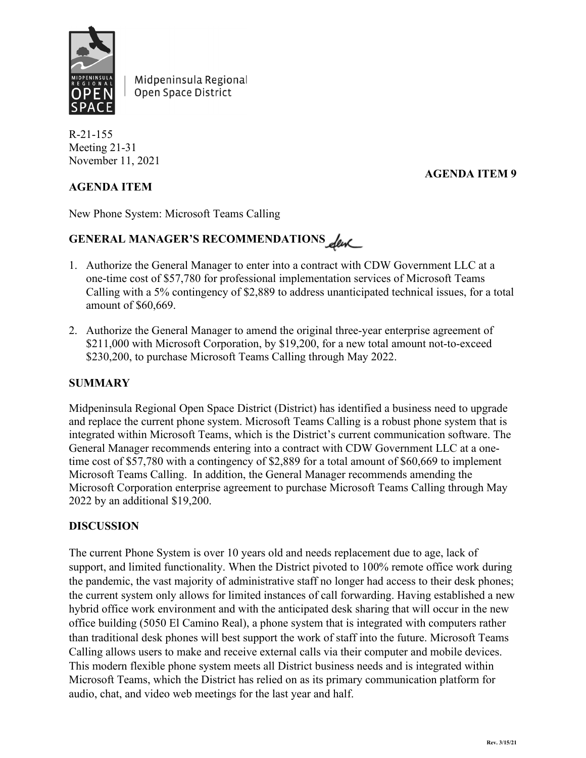

Midpeninsula Regional Open Space District

R-21-155 Meeting 21-31 November 11, 2021

## **AGENDA ITEM 9**

#### **AGENDA ITEM**

New Phone System: Microsoft Teams Calling

# GENERAL MANAGER'S RECOMMENDATIONS

- 1. Authorize the General Manager to enter into a contract with CDW Government LLC at a one-time cost of \$57,780 for professional implementation services of Microsoft Teams Calling with a 5% contingency of \$2,889 to address unanticipated technical issues, for a total amount of \$60,669.
- 2. Authorize the General Manager to amend the original three-year enterprise agreement of \$211,000 with Microsoft Corporation, by \$19,200, for a new total amount not-to-exceed \$230,200, to purchase Microsoft Teams Calling through May 2022.

#### **SUMMARY**

Midpeninsula Regional Open Space District (District) has identified a business need to upgrade and replace the current phone system. Microsoft Teams Calling is a robust phone system that is integrated within Microsoft Teams, which is the District's current communication software. The General Manager recommends entering into a contract with CDW Government LLC at a onetime cost of \$57,780 with a contingency of \$2,889 for a total amount of \$60,669 to implement Microsoft Teams Calling. In addition, the General Manager recommends amending the Microsoft Corporation enterprise agreement to purchase Microsoft Teams Calling through May 2022 by an additional \$19,200.

#### **DISCUSSION**

The current Phone System is over 10 years old and needs replacement due to age, lack of support, and limited functionality. When the District pivoted to 100% remote office work during the pandemic, the vast majority of administrative staff no longer had access to their desk phones; the current system only allows for limited instances of call forwarding. Having established a new hybrid office work environment and with the anticipated desk sharing that will occur in the new office building (5050 El Camino Real), a phone system that is integrated with computers rather than traditional desk phones will best support the work of staff into the future. Microsoft Teams Calling allows users to make and receive external calls via their computer and mobile devices. This modern flexible phone system meets all District business needs and is integrated within Microsoft Teams, which the District has relied on as its primary communication platform for audio, chat, and video web meetings for the last year and half.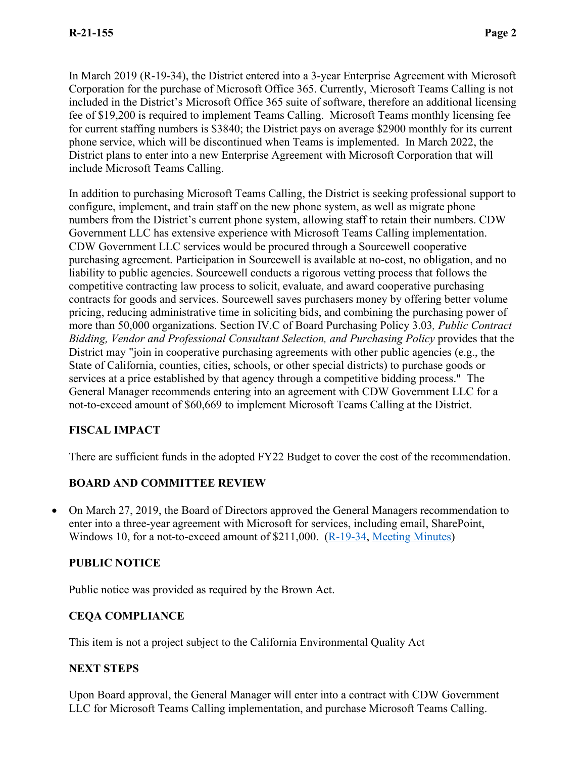In March 2019 (R-19-34), the District entered into a 3-year Enterprise Agreement with Microsoft Corporation for the purchase of Microsoft Office 365. Currently, Microsoft Teams Calling is not included in the District's Microsoft Office 365 suite of software, therefore an additional licensing fee of \$19,200 is required to implement Teams Calling. Microsoft Teams monthly licensing fee for current staffing numbers is \$3840; the District pays on average \$2900 monthly for its current phone service, which will be discontinued when Teams is implemented. In March 2022, the District plans to enter into a new Enterprise Agreement with Microsoft Corporation that will include Microsoft Teams Calling.

In addition to purchasing Microsoft Teams Calling, the District is seeking professional support to configure, implement, and train staff on the new phone system, as well as migrate phone numbers from the District's current phone system, allowing staff to retain their numbers. CDW Government LLC has extensive experience with Microsoft Teams Calling implementation. CDW Government LLC services would be procured through a Sourcewell cooperative purchasing agreement. Participation in Sourcewell is available at no-cost, no obligation, and no liability to public agencies. Sourcewell conducts a rigorous vetting process that follows the competitive contracting law process to solicit, evaluate, and award cooperative purchasing contracts for goods and services. Sourcewell saves purchasers money by offering better volume pricing, reducing administrative time in soliciting bids, and combining the purchasing power of more than 50,000 organizations. Section IV.C of Board Purchasing Policy 3.03*, Public Contract Bidding, Vendor and Professional Consultant Selection, and Purchasing Policy* provides that the District may "join in cooperative purchasing agreements with other public agencies (e.g., the State of California, counties, cities, schools, or other special districts) to purchase goods or services at a price established by that agency through a competitive bidding process." The General Manager recommends entering into an agreement with CDW Government LLC for a not-to-exceed amount of \$60,669 to implement Microsoft Teams Calling at the District.

### **FISCAL IMPACT**

There are sufficient funds in the adopted FY22 Budget to cover the cost of the recommendation.

# **BOARD AND COMMITTEE REVIEW**

• On March 27, 2019, the Board of Directors approved the General Managers recommendation to enter into a three-year agreement with Microsoft for services, including email, SharePoint, Windows 10, for a not-to-exceed amount of \$211,000. [\(R-19-34,](https://www.openspace.org/sites/default/files/20190327_Microsoft%20Enterprise%20License%20Renewal_R-19-34.pdf) [Meeting Minutes\)](https://www.openspace.org/sites/default/files/20190327_BOD_minutes_APPROVED.pdf)

### **PUBLIC NOTICE**

Public notice was provided as required by the Brown Act.

# **CEQA COMPLIANCE**

This item is not a project subject to the California Environmental Quality Act

### **NEXT STEPS**

Upon Board approval, the General Manager will enter into a contract with CDW Government LLC for Microsoft Teams Calling implementation, and purchase Microsoft Teams Calling.